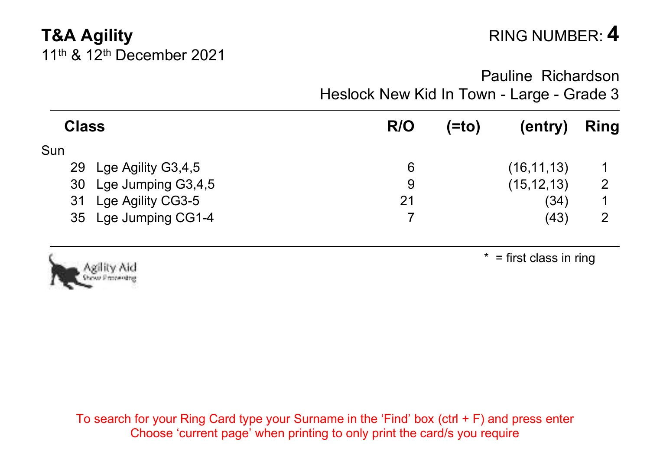## **T&A Agility** RING NUMBER: 4 11th & 12th December 2021

Pauline Richardson Heslock New Kid In Town - Large - Grade 3

| <b>Class</b> |                       | R/O | (=to) | (entry)      | Ring |
|--------------|-----------------------|-----|-------|--------------|------|
| Sun          |                       |     |       |              |      |
| 29           | Lge Agility G3,4,5    | 6   |       | (16, 11, 13) |      |
|              | 30 Lge Jumping G3,4,5 | 9   |       | (15, 12, 13) | 2    |
| 31           | Lge Agility CG3-5     | 21  |       | (34)         |      |
|              | 35 Lge Jumping CG1-4  |     |       | (43)         | 2    |



 $* =$  first class in ring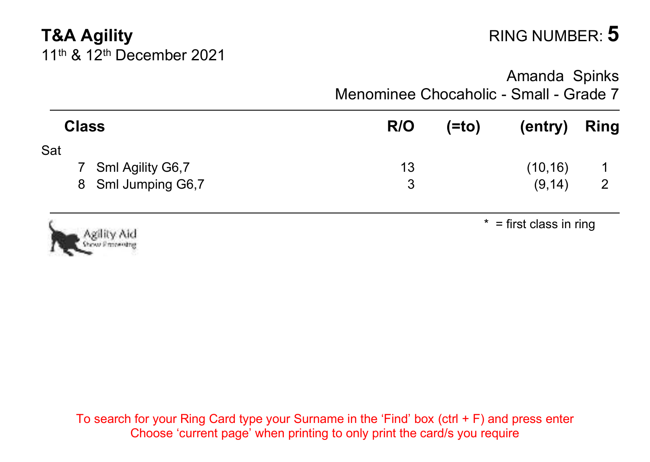# **T&A Agility RING NUMBER: 5** 11th & 12th December 2021

Amanda Spinks Menominee Chocaholic - Small - Grade 7

| <b>Class</b>                   | R/O | (=to)                     | (entry)  | Ring |
|--------------------------------|-----|---------------------------|----------|------|
| Sat                            |     |                           |          |      |
| 7 Sml Agility G6,7             | 13  |                           | (10, 16) |      |
| 8 Sml Jumping G6,7             | 3   |                           | (9, 14)  | 2    |
| Agility Aid<br>Show Protesting |     | $*$ = first class in ring |          |      |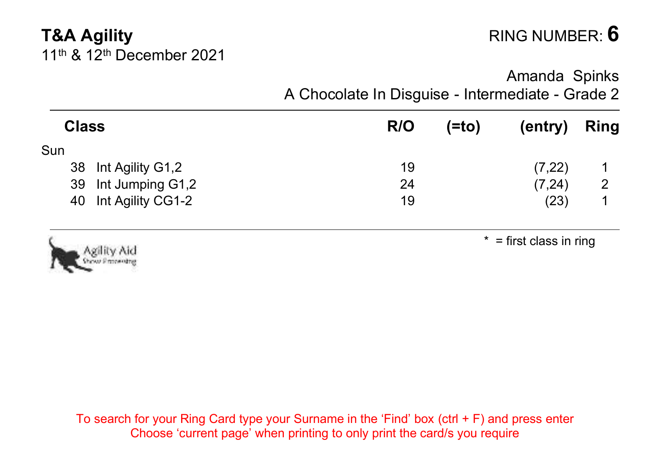## **T&A Agility RING NUMBER: 6** 11th & 12th December 2021

### Amanda Spinks A Chocolate In Disguise - Intermediate - Grade 2

| R/O | (=to) | (entry) | <b>Ring</b> |
|-----|-------|---------|-------------|
|     |       |         |             |
| 19  |       |         |             |
| 24  |       | (7, 24) | 2           |
| 19  |       | (23)    |             |
|     |       |         | (7,22)      |



 $*$  = first class in ring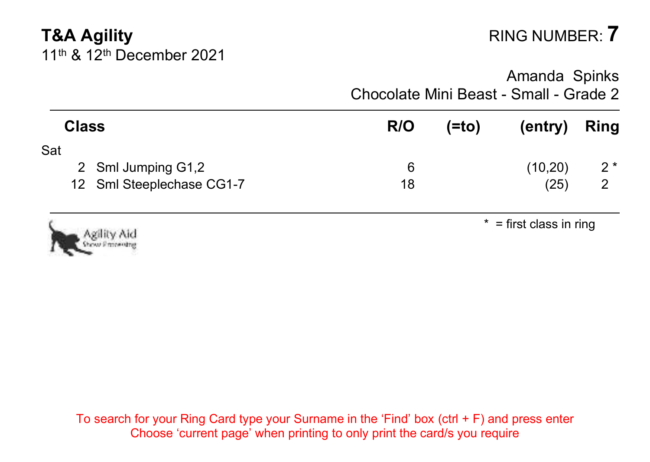# **T&A Agility** RING NUMBER: **7** 11th & 12th December 2021

Amanda Spinks Chocolate Mini Beast - Small - Grade 2

| Class                           | R/O | (=to) | (entry)                   | Ring  |
|---------------------------------|-----|-------|---------------------------|-------|
| Sat<br>2 Sml Jumping G1,2       | 6   |       | (10,20)                   | $2^*$ |
| 12 Sml Steeplechase CG1-7       | 18  |       | (25)                      | 2     |
| Agility Aid<br>Showy Properties |     |       | $*$ = first class in ring |       |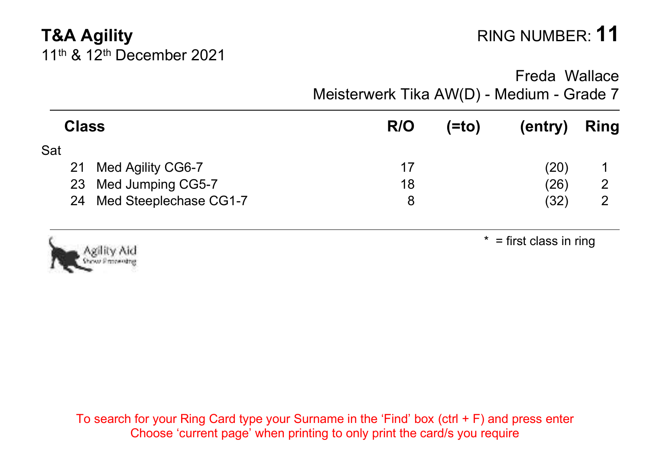# **T&A Agility** RING NUMBER: **11** 11th & 12th December 2021

Freda Wallace

Meisterwerk Tika AW(D) - Medium - Grade 7

| Class |                           | R/O | (=to) | (entry) | Ring |
|-------|---------------------------|-----|-------|---------|------|
| Sat   |                           |     |       |         |      |
|       | 21 Med Agility CG6-7      | 17  |       | (20)    |      |
|       | 23 Med Jumping CG5-7      | 18  |       | (26)    | 2    |
|       | 24 Med Steeplechase CG1-7 | 8   |       | (32)    | 2    |
|       |                           |     |       |         |      |



 $*$  = first class in ring